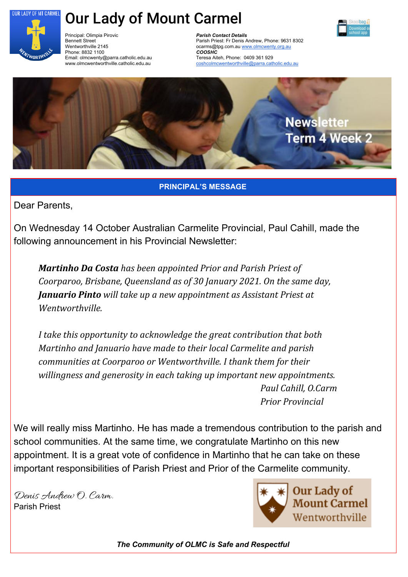

# Our Lady of Mount Carmel



Principal: Olimpia Pirovic Bennett Street Wentworthville 2145 Phone: 8832 1100 Email: olmcwenty@parra.catholic.edu.au www.olmcwentworthville.catholic.edu.au

*Parish Contact Details* Parish Priest: Fr Denis Andrew, Phone: 9631 8302 ocarms@tpg.com.au [www.olmcwenty.org.au](http://www.olmcwenty.org.au/) *COOSHC* Teresa Aiteh, Phone: 0409 361 929 [coshcolmcwentworthville@parra.catholic.edu.au](mailto:coshcolmcwentworthville@parra.catholic.edu.au)



**PRINCIPAL'S MESSAGE**

Dear Parents,

On Wednesday 14 October Australian Carmelite Provincial, Paul Cahill, made the following announcement in his Provincial Newsletter:

*Martinho Da Costa has been appointed Prior and Parish Priest of Coorparoo, Brisbane, Queensland as of 30 January 2021. On the same day, Januario Pinto will take up a new appointment as Assistant Priest at Wentworthville.*

*I take this opportunity to acknowledge the great contribution that both Martinho and Januario have made to their local Carmelite and parish communities at Coorparoo or Wentworthville. I thank them for their willingness and generosity in each taking up important new appointments. Paul Cahill, O.Carm Prior Provincial*

We will really miss Martinho. He has made a tremendous contribution to the parish and school communities. At the same time, we congratulate Martinho on this new appointment. It is a great vote of confidence in Martinho that he can take on these important responsibilities of Parish Priest and Prior of the Carmelite community.

Denis Andrew O. Carm. Parish Priest



*The Community of OLMC is Safe and Respectful*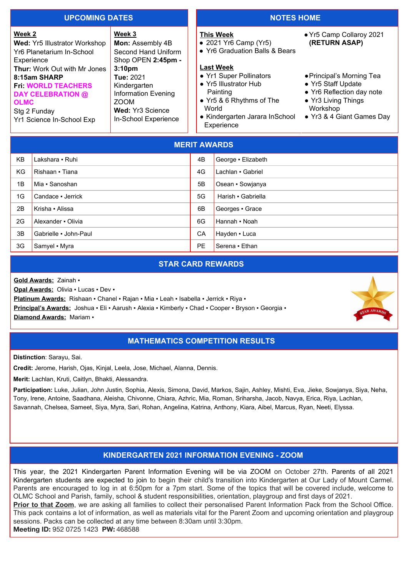#### **UPCOMING DATES NOTES HOME**

#### **Week 2 Wed:** Yr5 Illustrator Workshop Yr6 Planetarium In-School **Experience Thur:** Work Out with Mr Jones **8:15am SHARP Fri: WORLD TEACHERS DAY CELEBRATION @ OLMC** Stg 2 Funday Yr1 Science In-School Exp **Week 3 Mon:** Assembly 4B Second Hand Uniform Shop OPEN **2:45pm - 3:10pm Tue:** 2021 Kindergarten Information Evening ZOOM **Wed:** Yr3 Science In-School Experience **This Week** ● 2021 Yr6 Camp (Yr5) ● Yr6 Graduation Balls & Bears **Last Week** • Yr1 Super Pollinators ● Yr5 Illustrator Hub Painting ● Yr5 & 6 Rhythms of The World ● Kindergarten Jarara InSchool **Experience** ●Yr5 Camp Collaroy 2021 **(RETURN ASAP)** ●Principal's Morning Tea ● Yr5 Staff Update • Yr6 Reflection day note ● Yr3 Living Things Workshop ● Yr3 & 4 Giant Games Day

| <b>MERIT AWARDS</b> |                       |           |                    |
|---------------------|-----------------------|-----------|--------------------|
| <b>KB</b>           | Lakshara - Ruhi       | 4B        | George - Elizabeth |
| <b>KG</b>           | Rishaan • Tiana       | 4G        | Lachlan • Gabriel  |
| 1B                  | Mia - Sanoshan        | 5B        | Osean - Sowjanya   |
| 1G                  | Candace - Jerrick     | 5G        | Harish • Gabriella |
| 2B                  | Krisha • Alissa       | 6B        | Georges • Grace    |
| 2G                  | Alexander • Olivia    | 6G        | Hannah - Noah      |
| 3B                  | Gabrielle - John-Paul | CA        | Hayden • Luca      |
| 3G                  | Samyel • Myra         | <b>PE</b> | Serena • Ethan     |

#### **STAR CARD REWARDS**

**Gold Awards:** Zainah ▪

**Opal Awards:** Olivia ▪ Lucas ▪ Dev ▪

**Platinum Awards:** Rishaan ▪ Chanel ▪ Rajan ▪ Mia ▪ Leah ▪ Isabella ▪ Jerrick ▪ Riya ▪

**Principal's Awards:** Joshua ▪ Eli ▪ Aarush ▪ Alexia ▪ Kimberly ▪ Chad ▪ Cooper ▪ Bryson ▪ Georgia ▪

**Diamond Awards:** Mariam ▪

### **MATHEMATICS COMPETITION RESULTS**

**Distinction**: Sarayu, Sai.

**Credit:** Jerome, Harish, Ojas, Kinjal, Leela, Jose, Michael, Alanna, Dennis.

**Merit:** Lachlan, Kruti, Caitlyn, Bhakti, Alessandra.

**Participation:** Luke, Julian, John Justin, Sophia, Alexis, Simona, David, Markos, Sajin, Ashley, Mishti, Eva, Jieke, Sowjanya, Siya, Neha, Tony, Irene, Antoine, Saadhana, Aleisha, Chivonne, Chiara, Azhric, Mia, Roman, Sriharsha, Jacob, Navya, Erica, Riya, Lachlan, Savannah, Chelsea, Sameet, Siya, Myra, Sari, Rohan, Angelina, Katrina, Anthony, Kiara, Aibel, Marcus, Ryan, Neeti, Elyssa.

# **KINDERGARTEN 2021 INFORMATION EVENING - ZOOM**

This year, the 2021 Kindergarten Parent Information Evening will be via ZOOM on October 27th. Parents of all 2021 Kindergarten students are expected to join to begin their child's transition into Kindergarten at Our Lady of Mount Carmel. Parents are encouraged to log in at 6:50pm for a 7pm start. Some of the topics that will be covered include, welcome to OLMC School and Parish, family, school & student responsibilities, orientation, playgroup and first days of 2021.

**Prior to that Zoom**, we are asking all families to collect their personalised Parent Information Pack from the School Office. This pack contains a lot of information, as well as materials vital for the Parent Zoom and upcoming orientation and playgroup sessions. Packs can be collected at any time between 8:30am until 3:30pm.

**Meeting ID:** 952 0725 1423 **PW:** 468588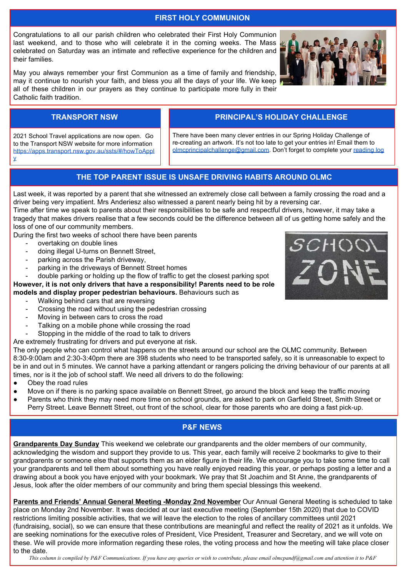### **FIRST HOLY COMMUNION**

Congratulations to all our parish children who celebrated their First Holy Communion last weekend, and to those who will celebrate it in the coming weeks. The Mass celebrated on Saturday was an intimate and reflective experience for the children and their families.

May you always remember your first Communion as a time of family and friendship, may it continue to nourish your faith, and bless you all the days of your life. We keep all of these children in our prayers as they continue to participate more fully in their Catholic faith tradition.

# **TRANSPORT NSW PRINCIPAL'S HOLIDAY CHALLENGE**

There have been many clever entries in our Spring Holiday Challenge of re-creating an artwork. It's not too late to get your entries in! Email them to [olmcprincipalchallenge@gmail.com](mailto:olmcprincipalchallenge@gmail.com). Don't forget to complete your [reading log](https://forms.gle/gWcqgSyNgV9UdwZm8)

## **THE TOP PARENT ISSUE IS UNSAFE DRIVING HABITS AROUND OLMC**

Last week, it was reported by a parent that she witnessed an extremely close call between a family crossing the road and a driver being very impatient. Mrs Anderiesz also witnessed a parent nearly being hit by a reversing car.

Time after time we speak to parents about their responsibilities to be safe and respectful drivers, however, it may take a tragedy that makes drivers realise that a few seconds could be the difference between all of us getting home safely and the loss of one of our community members.

During the first two weeks of school there have been parents

- overtaking on double lines
- doing illegal U-turns on Bennett Street,
- parking across the Parish driveway,

2021 School Travel applications are now open. Go to the Transport NSW website for more information [https://apps.transport.nsw.gov.au/ssts/#/howToAppl](https://apps.transport.nsw.gov.au/ssts/#/howToApply)

 $\overline{\mathbf{v}}$ 

parking in the driveways of Bennett Street homes

double parking or holding up the flow of traffic to get the closest parking spot **However, it is not only drivers that have a responsibility! Parents need to be role**

**models and display proper pedestrian behaviours.** Behaviours such as

- Walking behind cars that are reversing
- Crossing the road without using the pedestrian crossing
- Moving in between cars to cross the road
- Talking on a mobile phone while crossing the road
- Stopping in the middle of the road to talk to drivers
- Are extremely frustrating for drivers and put everyone at risk.

The only people who can control what happens on the streets around our school are the OLMC community. Between 8:30-9:00am and 2:30-3:40pm there are 398 students who need to be transported safely, so it is unreasonable to expect to be in and out in 5 minutes. We cannot have a parking attendant or rangers policing the driving behaviour of our parents at all times, nor is it the job of school staff. We need all drivers to do the following:

- Obey the road rules
- Move on if there is no parking space available on Bennett Street, go around the block and keep the traffic moving
- Parents who think they may need more time on school grounds, are asked to park on Garfield Street, Smith Street or Perry Street. Leave Bennett Street, out front of the school, clear for those parents who are doing a fast pick-up.

# **P&F NEWS**

**Grandparents Day Sunday** This weekend we celebrate our grandparents and the older members of our community, acknowledging the wisdom and support they provide to us. This year, each family will receive 2 bookmarks to give to their grandparents or someone else that supports them as an elder figure in their life. We encourage you to take some time to call your grandparents and tell them about something you have really enjoyed reading this year, or perhaps posting a letter and a drawing about a book you have enjoyed with your bookmark. We pray that St Joachim and St Anne, the grandparents of Jesus, look after the older members of our community and bring them special blessings this weekend.

**Parents and Friends' Annual General Meeting -Monday 2nd November** Our Annual General Meeting is scheduled to take place on Monday 2nd November. It was decided at our last executive meeting (September 15th 2020) that due to COVID restrictions limiting possible activities, that we will leave the election to the roles of ancillary committees until 2021 (fundraising, social), so we can ensure that these contributions are meaningful and reflect the reality of 2021 as it unfolds. We are seeking nominations for the executive roles of President, Vice President, Treasurer and Secretary, and we will vote on these. We will provide more information regarding these roles, the voting process and how the meeting will take place closer to the date.

This column is compiled by P&F Communications. If you have any queries or wish to contribute, please email olmcpandf@gmail.com and attention it to P&F



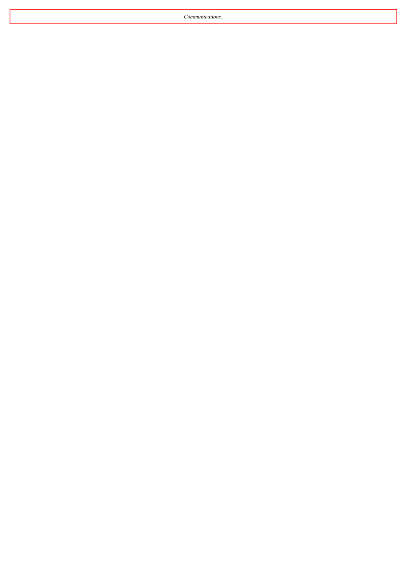*Communications.*